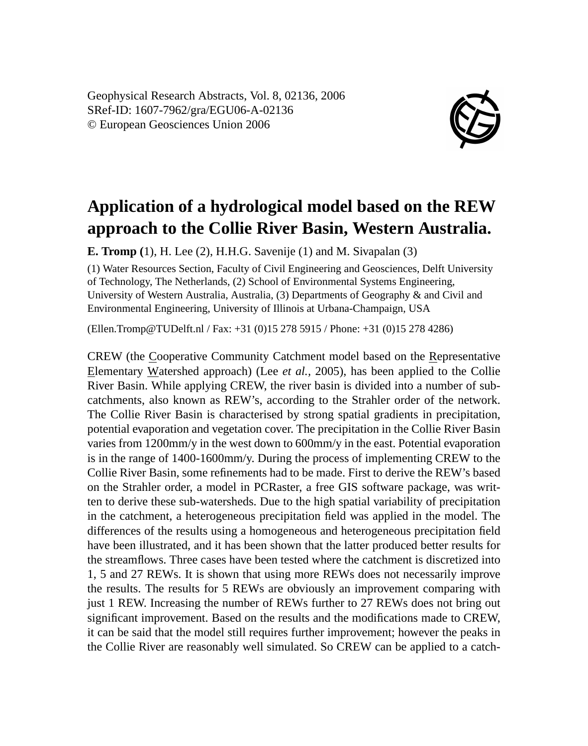Geophysical Research Abstracts, Vol. 8, 02136, 2006 SRef-ID: 1607-7962/gra/EGU06-A-02136 © European Geosciences Union 2006



## **Application of a hydrological model based on the REW approach to the Collie River Basin, Western Australia.**

**E. Tromp (**1), H. Lee (2), H.H.G. Savenije (1) and M. Sivapalan (3)

(1) Water Resources Section, Faculty of Civil Engineering and Geosciences, Delft University of Technology, The Netherlands, (2) School of Environmental Systems Engineering, University of Western Australia, Australia, (3) Departments of Geography & and Civil and Environmental Engineering, University of Illinois at Urbana-Champaign, USA

(Ellen.Tromp@TUDelft.nl / Fax: +31 (0)15 278 5915 / Phone: +31 (0)15 278 4286)

CREW (the Cooperative Community Catchment model based on the Representative Elementary Watershed approach) (Lee *et al.,* 2005), has been applied to the Collie River Basin. While applying CREW, the river basin is divided into a number of subcatchments, also known as REW's, according to the Strahler order of the network. The Collie River Basin is characterised by strong spatial gradients in precipitation, potential evaporation and vegetation cover. The precipitation in the Collie River Basin varies from 1200mm/y in the west down to 600mm/y in the east. Potential evaporation is in the range of 1400-1600mm/y. During the process of implementing CREW to the Collie River Basin, some refinements had to be made. First to derive the REW's based on the Strahler order, a model in PCRaster, a free GIS software package, was written to derive these sub-watersheds. Due to the high spatial variability of precipitation in the catchment, a heterogeneous precipitation field was applied in the model. The differences of the results using a homogeneous and heterogeneous precipitation field have been illustrated, and it has been shown that the latter produced better results for the streamflows. Three cases have been tested where the catchment is discretized into 1, 5 and 27 REWs. It is shown that using more REWs does not necessarily improve the results. The results for 5 REWs are obviously an improvement comparing with just 1 REW. Increasing the number of REWs further to 27 REWs does not bring out significant improvement. Based on the results and the modifications made to CREW, it can be said that the model still requires further improvement; however the peaks in the Collie River are reasonably well simulated. So CREW can be applied to a catch